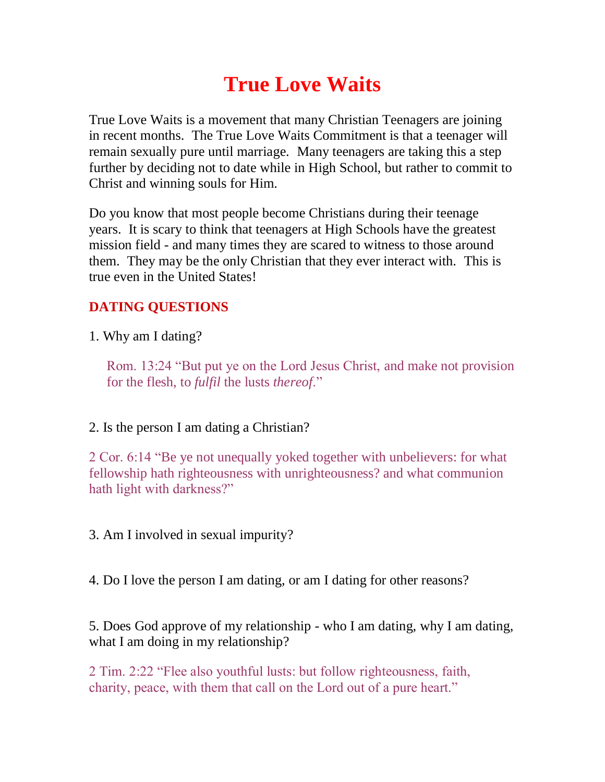# **True Love Waits**

True Love Waits is a movement that many Christian Teenagers are joining in recent months. The True Love Waits Commitment is that a teenager will remain sexually pure until marriage. Many teenagers are taking this a step further by deciding not to date while in High School, but rather to commit to Christ and winning souls for Him.

Do you know that most people become Christians during their teenage years. It is scary to think that teenagers at High Schools have the greatest mission field - and many times they are scared to witness to those around them. They may be the only Christian that they ever interact with. This is true even in the United States!

## **DATING QUESTIONS**

1. Why am I dating?

Rom. 13:24 "But put ye on the Lord Jesus Christ, and make not provision for the flesh, to *fulfil* the lusts *thereof*."

## 2. Is the person I am dating a Christian?

2 Cor. 6:14 "Be ye not unequally yoked together with unbelievers: for what fellowship hath righteousness with unrighteousness? and what communion hath light with darkness?"

3. Am I involved in sexual impurity?

4. Do I love the person I am dating, or am I dating for other reasons?

5. Does God approve of my relationship - who I am dating, why I am dating, what I am doing in my relationship?

2 Tim. 2:22 "Flee also youthful lusts: but follow righteousness, faith, charity, peace, with them that call on the Lord out of a pure heart."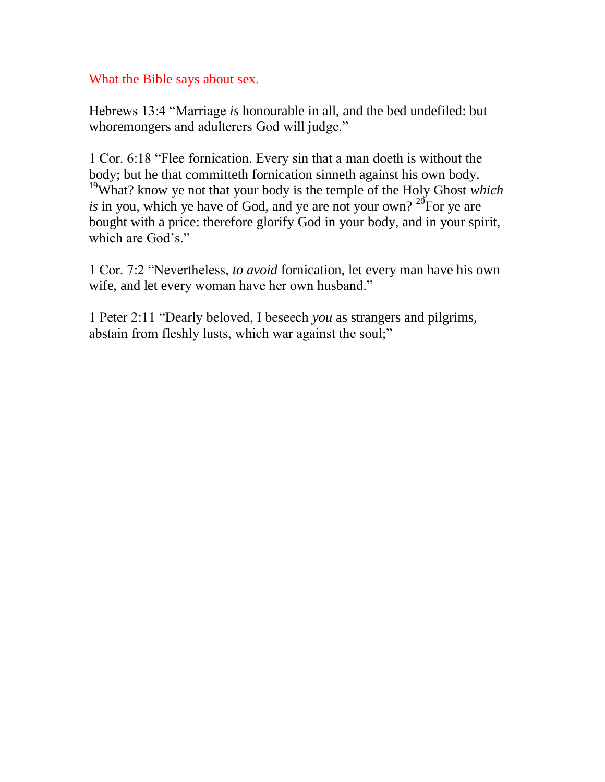### What the Bible says about sex.

Hebrews 13:4 "Marriage *is* honourable in all, and the bed undefiled: but whoremongers and adulterers God will judge."

1 Cor. 6:18 "Flee fornication. Every sin that a man doeth is without the body; but he that committeth fornication sinneth against his own body. <sup>19</sup>What? know ye not that your body is the temple of the Holy Ghost *which is* in you, which ye have of God, and ye are not your own? <sup>20</sup>For ye are bought with a price: therefore glorify God in your body, and in your spirit, which are God's."

1 Cor. 7:2 "Nevertheless, *to avoid* fornication, let every man have his own wife, and let every woman have her own husband."

1 Peter 2:11 "Dearly beloved, I beseech *you* as strangers and pilgrims, abstain from fleshly lusts, which war against the soul;"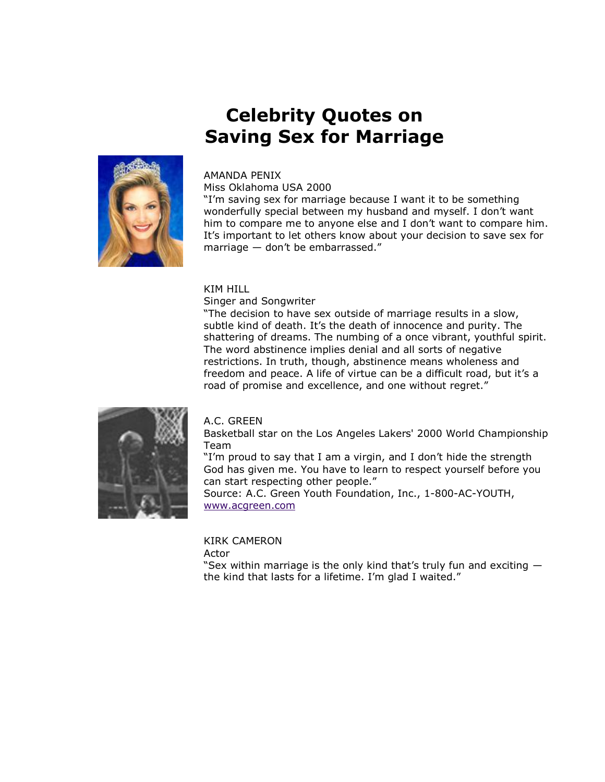## **Celebrity Quotes on Saving Sex for Marriage**



#### AMANDA PENIX

Miss Oklahoma USA 2000

"I'm saving sex for marriage because I want it to be something wonderfully special between my husband and myself. I don't want him to compare me to anyone else and I don't want to compare him. It's important to let others know about your decision to save sex for marriage  $-$  don't be embarrassed."

#### KIM HILL

Singer and Songwriter

"The decision to have sex outside of marriage results in a slow, subtle kind of death. It's the death of innocence and purity. The shattering of dreams. The numbing of a once vibrant, youthful spirit. The word abstinence implies denial and all sorts of negative restrictions. In truth, though, abstinence means wholeness and freedom and peace. A life of virtue can be a difficult road, but it's a road of promise and excellence, and one without regret."



#### A.C. GREEN

Basketball star on the Los Angeles Lakers' 2000 World Championship Team

"I'm proud to say that I am a virgin, and I don't hide the strength God has given me. You have to learn to respect yourself before you can start respecting other people." Source: A.C. Green Youth Foundation, Inc., 1-800-AC-YOUTH, [www.acgreen.com](http://www.acgreen.com/)

KIRK CAMERON Actor

"Sex within marriage is the only kind that's truly fun and exciting  $$ the kind that lasts for a lifetime. I'm glad I waited."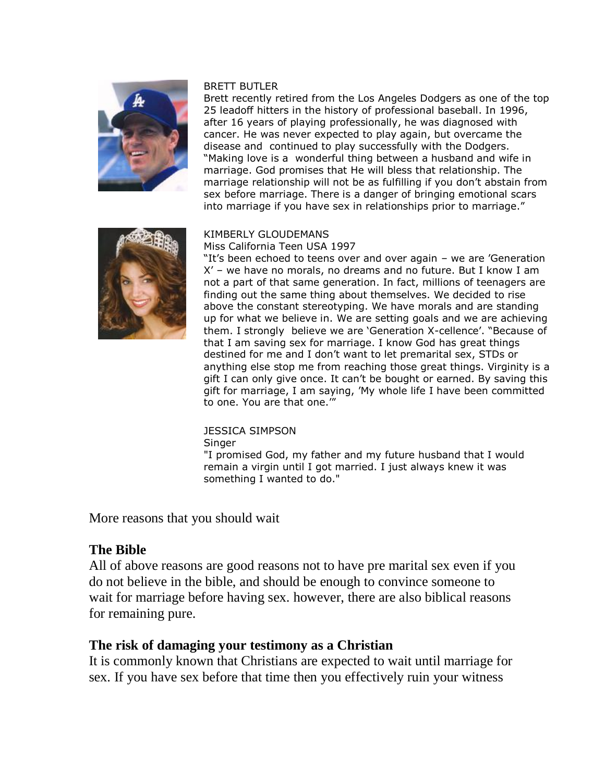

#### BRETT BUTLER

Brett recently retired from the Los Angeles Dodgers as one of the top 25 leadoff hitters in the history of professional baseball. In 1996, after 16 years of playing professionally, he was diagnosed with cancer. He was never expected to play again, but overcame the disease and continued to play successfully with the Dodgers. "Making love is a wonderful thing between a husband and wife in marriage. God promises that He will bless that relationship. The marriage relationship will not be as fulfilling if you don't abstain from sex before marriage. There is a danger of bringing emotional scars into marriage if you have sex in relationships prior to marriage."



#### KIMBERLY GLOUDEMANS

Miss California Teen USA 1997

"It's been echoed to teens over and over again - we are 'Generation X' – we have no morals, no dreams and no future. But I know I am not a part of that same generation. In fact, millions of teenagers are finding out the same thing about themselves. We decided to rise above the constant stereotyping. We have morals and are standing up for what we believe in. We are setting goals and we are achieving them. I strongly believe we are 'Generation X-cellence'. "Because of that I am saving sex for marriage. I know God has great things destined for me and I don't want to let premarital sex, STDs or anything else stop me from reaching those great things. Virginity is a gift I can only give once. It can't be bought or earned. By saving this gift for marriage, I am saying, 'My whole life I have been committed to one. You are that one."

#### JESSICA SIMPSON

**Singer** 

"I promised God, my father and my future husband that I would remain a virgin until I got married. I just always knew it was something I wanted to do."

More reasons that you should wait

#### **The Bible**

All of above reasons are good reasons not to have pre marital sex even if you do not believe in the bible, and should be enough to convince someone to wait for marriage before having sex. however, there are also biblical reasons for remaining pure.

#### **The risk of damaging your testimony as a Christian**

It is commonly known that Christians are expected to wait until marriage for sex. If you have sex before that time then you effectively ruin your witness